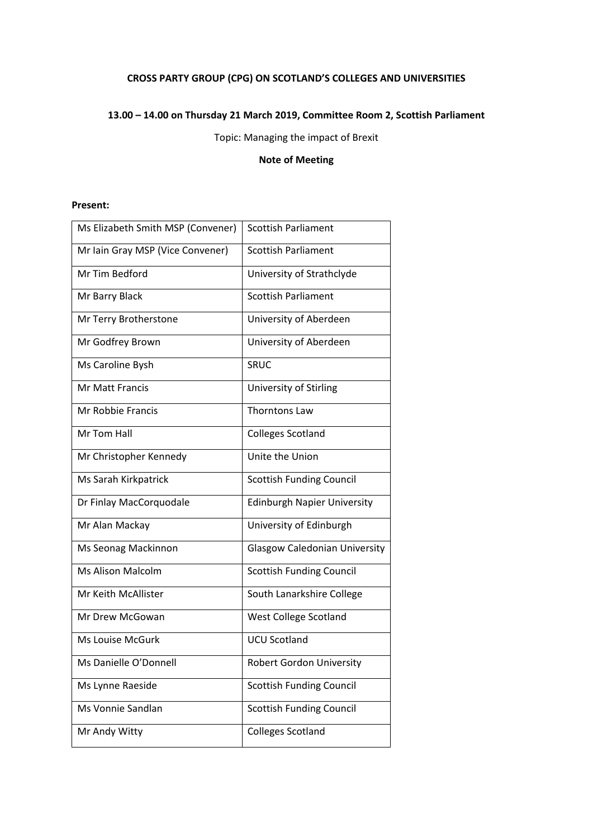# **CROSS PARTY GROUP (CPG) ON SCOTLAND'S COLLEGES AND UNIVERSITIES**

### **13.00 – 14.00 on Thursday 21 March 2019, Committee Room 2, Scottish Parliament**

Topic: Managing the impact of Brexit

### **Note of Meeting**

#### **Present:**

| Ms Elizabeth Smith MSP (Convener) | <b>Scottish Parliament</b>           |
|-----------------------------------|--------------------------------------|
| Mr Iain Gray MSP (Vice Convener)  | <b>Scottish Parliament</b>           |
| Mr Tim Bedford                    | University of Strathclyde            |
| Mr Barry Black                    | <b>Scottish Parliament</b>           |
| Mr Terry Brotherstone             | University of Aberdeen               |
| Mr Godfrey Brown                  | University of Aberdeen               |
| Ms Caroline Bysh                  | SRUC                                 |
| <b>Mr Matt Francis</b>            | University of Stirling               |
| Mr Robbie Francis                 | <b>Thorntons Law</b>                 |
| Mr Tom Hall                       | <b>Colleges Scotland</b>             |
| Mr Christopher Kennedy            | Unite the Union                      |
| Ms Sarah Kirkpatrick              | <b>Scottish Funding Council</b>      |
| Dr Finlay MacCorquodale           | <b>Edinburgh Napier University</b>   |
| Mr Alan Mackay                    | University of Edinburgh              |
| Ms Seonag Mackinnon               | <b>Glasgow Caledonian University</b> |
| <b>Ms Alison Malcolm</b>          | <b>Scottish Funding Council</b>      |
| Mr Keith McAllister               | South Lanarkshire College            |
| Mr Drew McGowan                   | West College Scotland                |
| <b>Ms Louise McGurk</b>           | <b>UCU Scotland</b>                  |
| Ms Danielle O'Donnell             | <b>Robert Gordon University</b>      |
| Ms Lynne Raeside                  | <b>Scottish Funding Council</b>      |
| Ms Vonnie Sandlan                 | <b>Scottish Funding Council</b>      |
| Mr Andy Witty                     | <b>Colleges Scotland</b>             |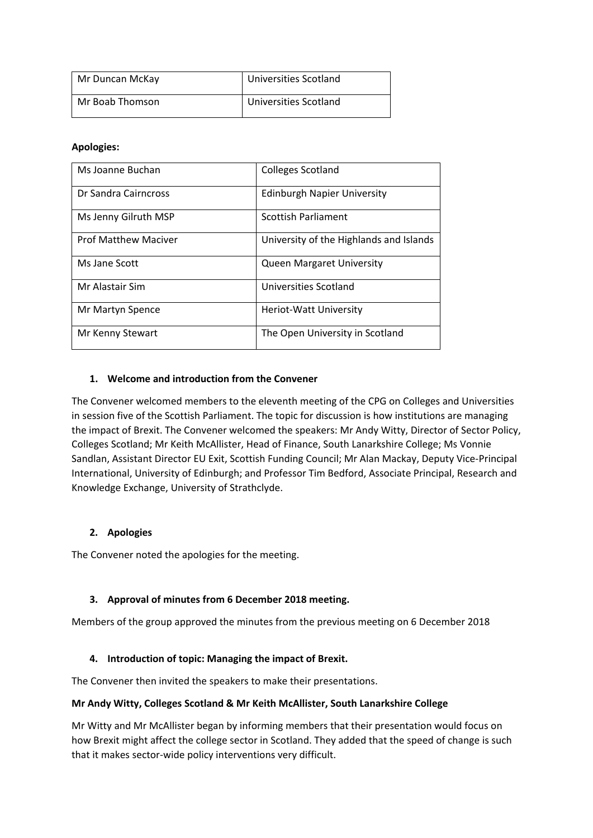| Mr Duncan McKay | Universities Scotland |
|-----------------|-----------------------|
| Mr Boab Thomson | Universities Scotland |

### **Apologies:**

| Ms Joanne Buchan            | <b>Colleges Scotland</b>                |
|-----------------------------|-----------------------------------------|
| Dr Sandra Cairncross        | <b>Edinburgh Napier University</b>      |
| Ms Jenny Gilruth MSP        | <b>Scottish Parliament</b>              |
| <b>Prof Matthew Maciver</b> | University of the Highlands and Islands |
| Ms Jane Scott               | <b>Queen Margaret University</b>        |
| Mr Alastair Sim             | Universities Scotland                   |
| Mr Martyn Spence            | <b>Heriot-Watt University</b>           |
| Mr Kenny Stewart            | The Open University in Scotland         |

### **1. Welcome and introduction from the Convener**

The Convener welcomed members to the eleventh meeting of the CPG on Colleges and Universities in session five of the Scottish Parliament. The topic for discussion is how institutions are managing the impact of Brexit. The Convener welcomed the speakers: Mr Andy Witty, Director of Sector Policy, Colleges Scotland; Mr Keith McAllister, Head of Finance, South Lanarkshire College; Ms Vonnie Sandlan, Assistant Director EU Exit, Scottish Funding Council; Mr Alan Mackay, Deputy Vice-Principal International, University of Edinburgh; and Professor Tim Bedford, Associate Principal, Research and Knowledge Exchange, University of Strathclyde.

## **2. Apologies**

The Convener noted the apologies for the meeting.

## **3. Approval of minutes from 6 December 2018 meeting.**

Members of the group approved the minutes from the previous meeting on 6 December 2018

#### **4. Introduction of topic: Managing the impact of Brexit.**

The Convener then invited the speakers to make their presentations.

#### **Mr Andy Witty, Colleges Scotland & Mr Keith McAllister, South Lanarkshire College**

Mr Witty and Mr McAllister began by informing members that their presentation would focus on how Brexit might affect the college sector in Scotland. They added that the speed of change is such that it makes sector-wide policy interventions very difficult.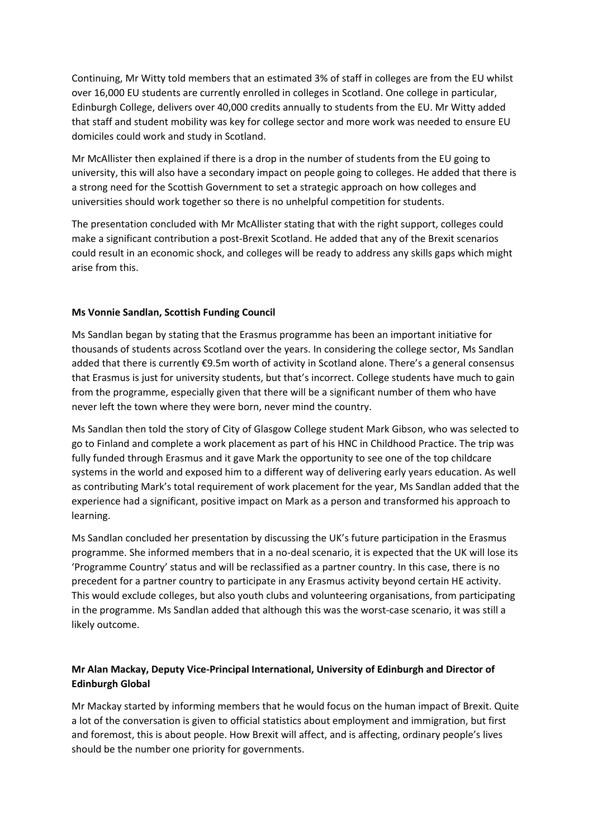Continuing, Mr Witty told members that an estimated 3% of staff in colleges are from the EU whilst over 16,000 EU students are currently enrolled in colleges in Scotland. One college in particular, Edinburgh College, delivers over 40,000 credits annually to students from the EU. Mr Witty added that staff and student mobility was key for college sector and more work was needed to ensure EU domiciles could work and study in Scotland.

Mr McAllister then explained if there is a drop in the number of students from the EU going to university, this will also have a secondary impact on people going to colleges. He added that there is a strong need for the Scottish Government to set a strategic approach on how colleges and universities should work together so there is no unhelpful competition for students.

The presentation concluded with Mr McAllister stating that with the right support, colleges could make a significant contribution a post-Brexit Scotland. He added that any of the Brexit scenarios could result in an economic shock, and colleges will be ready to address any skills gaps which might arise from this.

### **Ms Vonnie Sandlan, Scottish Funding Council**

Ms Sandlan began by stating that the Erasmus programme has been an important initiative for thousands of students across Scotland over the years. In considering the college sector, Ms Sandlan added that there is currently €9.5m worth of activity in Scotland alone. There's a general consensus that Erasmus is just for university students, but that's incorrect. College students have much to gain from the programme, especially given that there will be a significant number of them who have never left the town where they were born, never mind the country.

Ms Sandlan then told the story of City of Glasgow College student Mark Gibson, who was selected to go to Finland and complete a work placement as part of his HNC in Childhood Practice. The trip was fully funded through Erasmus and it gave Mark the opportunity to see one of the top childcare systems in the world and exposed him to a different way of delivering early years education. As well as contributing Mark's total requirement of work placement for the year, Ms Sandlan added that the experience had a significant, positive impact on Mark as a person and transformed his approach to learning.

Ms Sandlan concluded her presentation by discussing the UK's future participation in the Erasmus programme. She informed members that in a no-deal scenario, it is expected that the UK will lose its 'Programme Country' status and will be reclassified as a partner country. In this case, there is no precedent for a partner country to participate in any Erasmus activity beyond certain HE activity. This would exclude colleges, but also youth clubs and volunteering organisations, from participating in the programme. Ms Sandlan added that although this was the worst-case scenario, it was still a likely outcome.

## **Mr Alan Mackay, Deputy Vice-Principal International, University of Edinburgh and Director of Edinburgh Global**

Mr Mackay started by informing members that he would focus on the human impact of Brexit. Quite a lot of the conversation is given to official statistics about employment and immigration, but first and foremost, this is about people. How Brexit will affect, and is affecting, ordinary people's lives should be the number one priority for governments.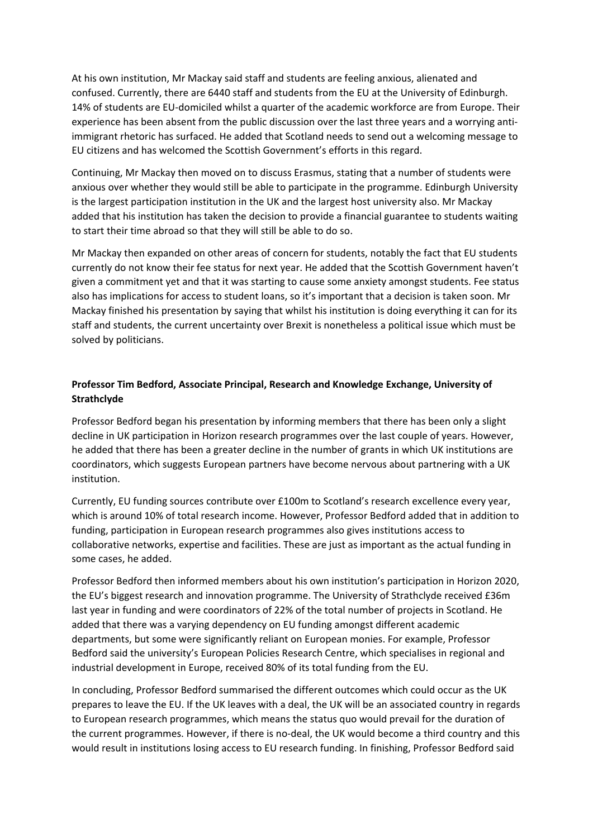At his own institution, Mr Mackay said staff and students are feeling anxious, alienated and confused. Currently, there are 6440 staff and students from the EU at the University of Edinburgh. 14% of students are EU-domiciled whilst a quarter of the academic workforce are from Europe. Their experience has been absent from the public discussion over the last three years and a worrying antiimmigrant rhetoric has surfaced. He added that Scotland needs to send out a welcoming message to EU citizens and has welcomed the Scottish Government's efforts in this regard.

Continuing, Mr Mackay then moved on to discuss Erasmus, stating that a number of students were anxious over whether they would still be able to participate in the programme. Edinburgh University is the largest participation institution in the UK and the largest host university also. Mr Mackay added that his institution has taken the decision to provide a financial guarantee to students waiting to start their time abroad so that they will still be able to do so.

Mr Mackay then expanded on other areas of concern for students, notably the fact that EU students currently do not know their fee status for next year. He added that the Scottish Government haven't given a commitment yet and that it was starting to cause some anxiety amongst students. Fee status also has implications for access to student loans, so it's important that a decision is taken soon. Mr Mackay finished his presentation by saying that whilst his institution is doing everything it can for its staff and students, the current uncertainty over Brexit is nonetheless a political issue which must be solved by politicians.

## **Professor Tim Bedford, Associate Principal, Research and Knowledge Exchange, University of Strathclyde**

Professor Bedford began his presentation by informing members that there has been only a slight decline in UK participation in Horizon research programmes over the last couple of years. However, he added that there has been a greater decline in the number of grants in which UK institutions are coordinators, which suggests European partners have become nervous about partnering with a UK institution.

Currently, EU funding sources contribute over £100m to Scotland's research excellence every year, which is around 10% of total research income. However, Professor Bedford added that in addition to funding, participation in European research programmes also gives institutions access to collaborative networks, expertise and facilities. These are just as important as the actual funding in some cases, he added.

Professor Bedford then informed members about his own institution's participation in Horizon 2020, the EU's biggest research and innovation programme. The University of Strathclyde received £36m last year in funding and were coordinators of 22% of the total number of projects in Scotland. He added that there was a varying dependency on EU funding amongst different academic departments, but some were significantly reliant on European monies. For example, Professor Bedford said the university's European Policies Research Centre, which specialises in regional and industrial development in Europe, received 80% of its total funding from the EU.

In concluding, Professor Bedford summarised the different outcomes which could occur as the UK prepares to leave the EU. If the UK leaves with a deal, the UK will be an associated country in regards to European research programmes, which means the status quo would prevail for the duration of the current programmes. However, if there is no-deal, the UK would become a third country and this would result in institutions losing access to EU research funding. In finishing, Professor Bedford said